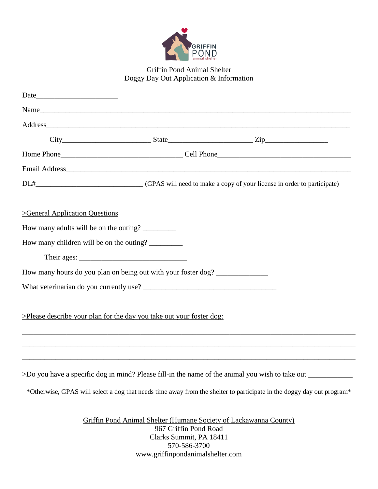

# Griffin Pond Animal Shelter Doggy Day Out Application & Information

| >General Application Questions                                                                       |                                                  |                                                                                                                       |  |
|------------------------------------------------------------------------------------------------------|--------------------------------------------------|-----------------------------------------------------------------------------------------------------------------------|--|
| How many adults will be on the outing? _________                                                     |                                                  |                                                                                                                       |  |
| How many children will be on the outing?                                                             |                                                  |                                                                                                                       |  |
|                                                                                                      |                                                  |                                                                                                                       |  |
| How many hours do you plan on being out with your foster dog?                                        |                                                  |                                                                                                                       |  |
|                                                                                                      |                                                  |                                                                                                                       |  |
| >Please describe your plan for the day you take out your foster dog:                                 |                                                  |                                                                                                                       |  |
|                                                                                                      |                                                  |                                                                                                                       |  |
| >Do you have a specific dog in mind? Please fill-in the name of the animal you wish to take out ____ |                                                  | *Otherwise, GPAS will select a dog that needs time away from the shelter to participate in the doggy day out program* |  |
|                                                                                                      | 967 Griffin Pond Road<br>Clarks Summit, PA 18411 | Griffin Pond Animal Shelter (Humane Society of Lackawanna County)                                                     |  |

570-586-3700 www.griffinpondanimalshelter.com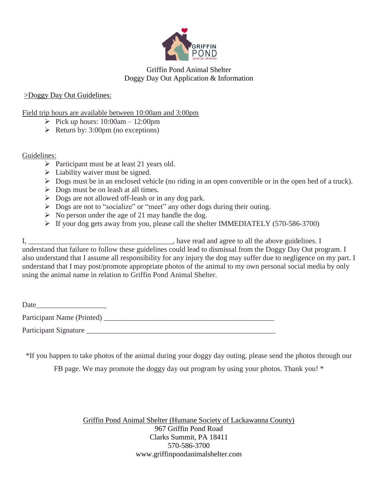

## Griffin Pond Animal Shelter Doggy Day Out Application & Information

### >Doggy Day Out Guidelines:

#### Field trip hours are available between 10:00am and 3:00pm

- Pick up hours:  $10:00$ am  $12:00$ pm
- $\triangleright$  Return by: 3:00pm (no exceptions)

#### Guidelines:

- $\triangleright$  Participant must be at least 21 years old.
- $\triangleright$  Liability waiver must be signed.
- Dogs must be in an enclosed vehicle (no riding in an open convertible or in the open bed of a truck).
- $\triangleright$  Dogs must be on leash at all times.
- $\triangleright$  Dogs are not allowed off-leash or in any dog park.
- $\triangleright$  Dogs are not to "socialize" or "meet" any other dogs during their outing.
- $\triangleright$  No person under the age of 21 may handle the dog.
- $\triangleright$  If your dog gets away from you, please call the shelter IMMEDIATELY (570-586-3700)

I, \_\_\_\_\_\_\_\_\_\_\_\_\_\_\_\_\_\_\_\_\_\_\_\_\_\_\_\_\_\_\_\_\_\_\_\_\_\_\_, have read and agree to all the above guidelines. I understand that failure to follow these guidelines could lead to dismissal from the Doggy Day Out program. I also understand that I assume all responsibility for any injury the dog may suffer due to negligence on my part. I understand that I may post/promote appropriate photos of the animal to my own personal social media by only using the animal name in relation to Griffin Pond Animal Shelter.

| Date                       |  |
|----------------------------|--|
| Participant Name (Printed) |  |
| Participant Signature      |  |

\*If you happen to take photos of the animal during your doggy day outing, please send the photos through our

FB page. We may promote the doggy day out program by using your photos. Thank you! \*

Griffin Pond Animal Shelter (Humane Society of Lackawanna County) 967 Griffin Pond Road Clarks Summit, PA 18411 570-586-3700 www.griffinpondanimalshelter.com